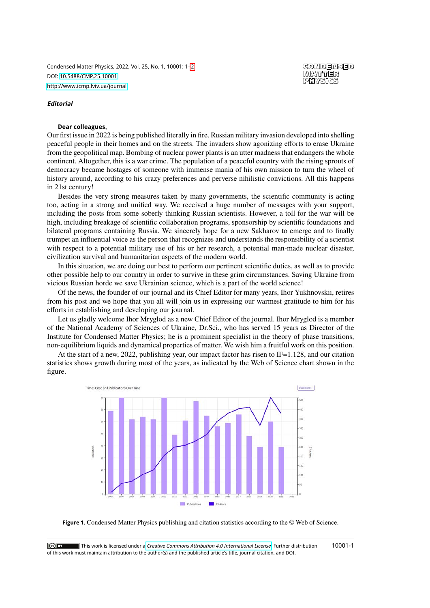Condensed Matter Physics, 2022, Vol. 25, No. 1, 10001: 1[–2](#page-0-0) DOI: [10.5488/CMP.25.10001](https://doi.org/10.5488/CMP.25.10001) <http://www.icmp.lviv.ua/journal>

## **Editorial**

## **Dear colleagues**,

**CONDENSED** MATTER PHYSIGS

Our first issue in 2022 is being published literally in fire. Russian military invasion developed into shelling peaceful people in their homes and on the streets. The invaders show agonizing efforts to erase Ukraine from the geopolitical map. Bombing of nuclear power plants is an utter madness that endangers the whole continent. Altogether, this is a war crime. The population of a peaceful country with the rising sprouts of democracy became hostages of someone with immense mania of his own mission to turn the wheel of history around, according to his crazy preferences and perverse nihilistic convictions. All this happens in 21st century!

Besides the very strong measures taken by many governments, the scientific community is acting too, acting in a strong and unified way. We received a huge number of messages with your support, including the posts from some soberly thinking Russian scientists. However, a toll for the war will be high, including breakage of scientific collaboration programs, sponsorship by scientific foundations and bilateral programs containing Russia. We sincerely hope for a new Sakharov to emerge and to finally trumpet an influential voice as the person that recognizes and understands the responsibility of a scientist with respect to a potential military use of his or her research, a potential man-made nuclear disaster, civilization survival and humanitarian aspects of the modern world.

In this situation, we are doing our best to perform our pertinent scientific duties, as well as to provide other possible help to our country in order to survive in these grim circumstances. Saving Ukraine from vicious Russian horde we save Ukrainian science, which is a part of the world science!

Of the news, the founder of our journal and its Chief Editor for many years, Ihor Yukhnovskii, retires from his post and we hope that you all will join us in expressing our warmest gratitude to him for his efforts in establishing and developing our journal.

Let us gladly welcome Ihor Mryglod as a new Chief Editor of the journal. Ihor Mryglod is a member of the National Academy of Sciences of Ukraine, Dr.Sci., who has served 15 years as Director of the Institute for Condensed Matter Physics; he is a prominent specialist in the theory of phase transitions, non-equilibrium liquids and dynamical properties of matter. We wish him a fruitful work on this position.

At the start of a new, 2022, publishing year, our impact factor has risen to IF=1.128, and our citation statistics shows growth during most of the years, as indicated by the Web of Science chart shown in the figure.



<span id="page-0-0"></span>**Figure 1.** Condensed Matter Physics publishing and citation statistics according to the © Web of Science.

10001-1 $|$  (ce) BY  $\blacksquare$  This work is licensed under a *[Creative Commons Attribution 4.0 International License](https://creativecommons.org/licenses/by/4.0/)*. Further distribution of this work must maintain attribution to the author(s) and the published article's title, journal citation, and DOI.